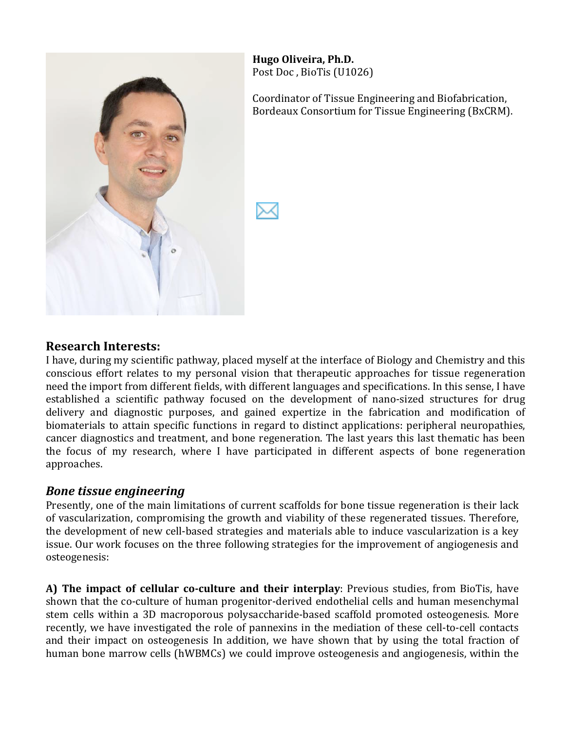

**Hugo%Oliveira,%Ph.D.** Post Doc, BioTis (U1026)

Coordinator of Tissue Engineering and Biofabrication, Bordeaux Consortium for Tissue Engineering (BxCRM).

#### **Research%Interests:**

I have, during my scientific pathway, placed myself at the interface of Biology and Chemistry and this conscious effort relates to my personal vision that therapeutic approaches for tissue regeneration need the import from different fields, with different languages and specifications. In this sense, I have established a scientific pathway focused on the development of nano-sized structures for drug delivery and diagnostic purposes, and gained expertize in the fabrication and modification of biomaterials to attain specific functions in regard to distinct applications: peripheral neuropathies, cancer diagnostics and treatment, and bone regeneration. The last years this last thematic has been the focus of my research, where I have participated in different aspects of bone regeneration approaches.

#### *Bone tissue engineering*

Presently, one of the main limitations of current scaffolds for bone tissue regeneration is their lack of vascularization, compromising the growth and viability of these regenerated tissues. Therefore, the development of new cell-based strategies and materials able to induce vascularization is a key issue. Our work focuses on the three following strategies for the improvement of angiogenesis and osteogenesis:

**A) The impact of cellular co-culture and their interplay**: Previous studies, from BioTis, have shown that the co-culture of human progenitor-derived endothelial cells and human mesenchymal stem cells within a 3D macroporous polysaccharide-based scaffold promoted osteogenesis. More recently, we have investigated the role of pannexins in the mediation of these cell-to-cell contacts and their impact on osteogenesis In addition, we have shown that by using the total fraction of human bone marrow cells (hWBMCs) we could improve osteogenesis and angiogenesis, within the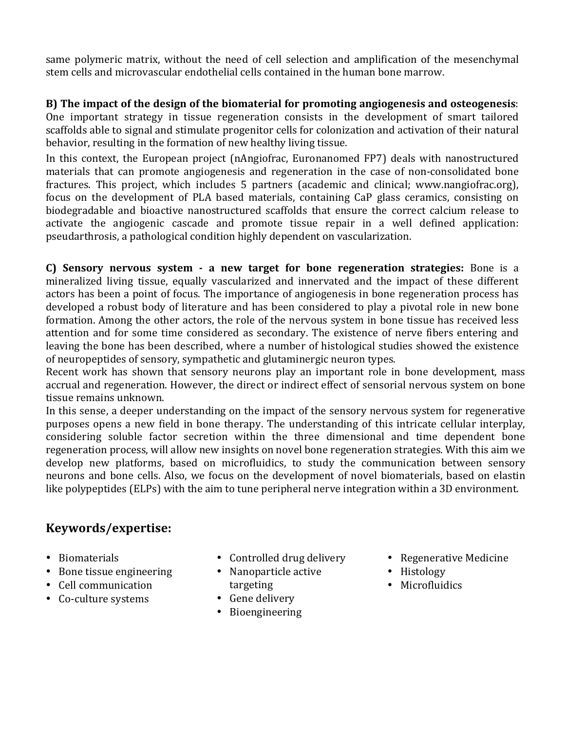same polymeric matrix, without the need of cell selection and amplification of the mesenchymal stem cells and microvascular endothelial cells contained in the human bone marrow.

**B)** The impact of the design of the biomaterial for promoting angiogenesis and osteogenesis: One important strategy in tissue regeneration consists in the development of smart tailored scaffolds able to signal and stimulate progenitor cells for colonization and activation of their natural behavior, resulting in the formation of new healthy living tissue.

In this context, the European project (nAngiofrac, Euronanomed FP7) deals with nanostructured materials that can promote angiogenesis and regeneration in the case of non-consolidated bone fractures. This project, which includes 5 partners (academic and clinical; www.nangiofrac.org), focus on the development of PLA based materials, containing CaP glass ceramics, consisting on biodegradable and bioactive nanostructured scaffolds that ensure the correct calcium release to activate the angiogenic cascade and promote tissue repair in a well defined application: pseudarthrosis, a pathological condition highly dependent on vascularization.

**C) Sensory nervous system**  $\cdot$  **a new target for bone regeneration strategies:** Bone is a mineralized living tissue, equally vascularized and innervated and the impact of these different actors has been a point of focus. The importance of angiogenesis in bone regeneration process has developed a robust body of literature and has been considered to play a pivotal role in new bone formation. Among the other actors, the role of the nervous system in bone tissue has received less attention and for some time considered as secondary. The existence of nerve fibers entering and leaving the bone has been described, where a number of histological studies showed the existence of neuropeptides of sensory, sympathetic and glutaminergic neuron types.

Recent work has shown that sensory neurons play an important role in bone development, mass accrual and regeneration. However, the direct or indirect effect of sensorial nervous system on bone tissue remains unknown.

In this sense, a deeper understanding on the impact of the sensory nervous system for regenerative purposes opens a new field in bone therapy. The understanding of this intricate cellular interplay, considering soluble factor secretion within the three dimensional and time dependent bone regeneration process, will allow new insights on novel bone regeneration strategies. With this aim we develop new platforms, based on microfluidics, to study the communication between sensory neurons and bone cells. Also, we focus on the development of novel biomaterials, based on elastin like polypeptides (ELPs) with the aim to tune peripheral nerve integration within a 3D environment.

# **Keywords/expertise:**

- Biomaterials
- Bone tissue engineering
- Cell communication
- Co-culture systems
- Controlled drug delivery
- $\bullet$  Nanoparticle active targeting
- Gene delivery
- Bioengineering
- Regenerative Medicine
- Histology
- Microfluidics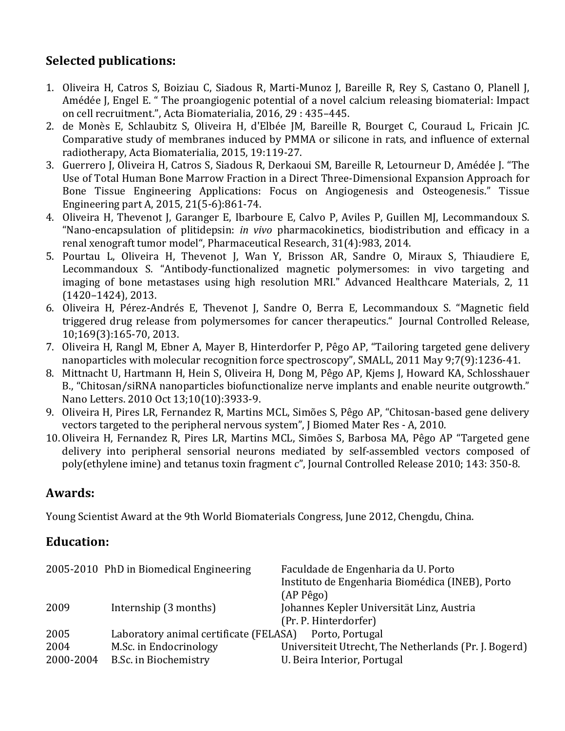# **Selected publications:**

- 1. Oliveira H, Catros S, Boiziau C, Siadous R, Marti-Munoz J, Bareille R, Rey S, Castano O, Planell J, Amédée J, Engel E. " The proangiogenic potential of a novel calcium releasing biomaterial: Impact on cell recruitment.", Acta Biomaterialia, 2016, 29 : 435-445.
- 2. de Monès E, Schlaubitz S, Oliveira H, d'Elbée JM, Bareille R, Bourget C, Couraud L, Fricain JC. Comparative study of membranes induced by PMMA or silicone in rats, and influence of external radiotherapy, Acta Biomaterialia, 2015, 19:119-27.
- 3. Guerrero J, Oliveira H, Catros S, Siadous R, Derkaoui SM, Bareille R, Letourneur D, Amédée J. "The Use of Total Human Bone Marrow Fraction in a Direct Three-Dimensional Expansion Approach for Bone Tissue Engineering Applications: Focus on Angiogenesis and Osteogenesis." Tissue Engineering part A, 2015, 21(5-6):861-74.
- 4. Oliveira H, Thevenot J, Garanger E, Ibarboure E, Calvo P, Aviles P, Guillen MJ, Lecommandoux S. "Nano-encapsulation of plitidepsin: *in vivo* pharmacokinetics, biodistribution and efficacy in a renal xenograft tumor model", Pharmaceutical Research, 31(4):983, 2014.
- 5. Pourtau L, Oliveira H, Thevenot J, Wan Y, Brisson AR, Sandre O, Miraux S, Thiaudiere E, Lecommandoux S. "Antibody-functionalized magnetic polymersomes: in vivo targeting and imaging of bone metastases using high resolution MRI." Advanced Healthcare Materials, 2, 11  $(1420 - 1424)$ , 2013.
- 6. Oliveira H, Pérez-Andrés E, Thevenot J, Sandre O, Berra E, Lecommandoux S. "Magnetic field triggered drug release from polymersomes for cancer therapeutics." Journal Controlled Release, 10;169(3):165-70, 2013.
- 7. Oliveira H, Rangl M, Ebner A, Mayer B, Hinterdorfer P, Pêgo AP, "Tailoring targeted gene delivery nanoparticles with molecular recognition force spectroscopy", SMALL, 2011 May 9;7(9):1236-41.
- 8. Mittnacht U, Hartmann H, Hein S, Oliveira H, Dong M, Pêgo AP, Kjems J, Howard KA, Schlosshauer B., "Chitosan/siRNA nanoparticles biofunctionalize nerve implants and enable neurite outgrowth." Nano Letters. 2010 Oct 13;10(10):3933-9.
- 9. Oliveira H, Pires LR, Fernandez R, Martins MCL, Simões S, Pêgo AP, "Chitosan-based gene delivery vectors targeted to the peripheral nervous system", J Biomed Mater Res - A, 2010.
- 10. Oliveira H, Fernandez R, Pires LR, Martins MCL, Simões S, Barbosa MA, Pêgo AP "Targeted gene delivery into peripheral sensorial neurons mediated by self-assembled vectors composed of poly(ethylene imine) and tetanus toxin fragment c", Journal Controlled Release 2010; 143: 350-8.

### **Awards:**

Young Scientist Award at the 9th World Biomaterials Congress, June 2012, Chengdu, China.

### **Education:**

|                   | 2005-2010 PhD in Biomedical Engineering         | Faculdade de Engenharia da U. Porto<br>Instituto de Engenharia Biomédica (INEB), Porto<br>$(AP$ Pêgo $)$ |
|-------------------|-------------------------------------------------|----------------------------------------------------------------------------------------------------------|
| 2009              | Internship (3 months)                           | Johannes Kepler Universität Linz, Austria<br>(Pr. P. Hinterdorfer)                                       |
| 2005              | Laboratory animal certificate (FELASA)          | Porto, Portugal                                                                                          |
| 2004<br>2000-2004 | M.Sc. in Endocrinology<br>B.Sc. in Biochemistry | Universiteit Utrecht, The Netherlands (Pr. J. Bogerd)<br>U. Beira Interior, Portugal                     |
|                   |                                                 |                                                                                                          |